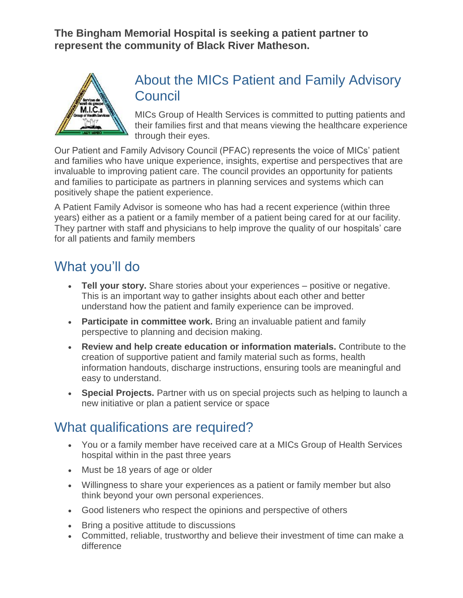**The Bingham Memorial Hospital is seeking a patient partner to represent the community of Black River Matheson.**



## About the MICs Patient and Family Advisory **Council**

MICs Group of Health Services is committed to putting patients and their families first and that means viewing the healthcare experience through their eyes.

Our Patient and Family Advisory Council (PFAC) represents the voice of MICs' patient and families who have unique experience, insights, expertise and perspectives that are invaluable to improving patient care. The council provides an opportunity for patients and families to participate as partners in planning services and systems which can positively shape the patient experience.

A Patient Family Advisor is someone who has had a recent experience (within three years) either as a patient or a family member of a patient being cared for at our facility. They partner with staff and physicians to help improve the quality of our hospitals' care for all patients and family members

# What you'll do

- **Tell your story.** Share stories about your experiences positive or negative. This is an important way to gather insights about each other and better understand how the patient and family experience can be improved.
- **Participate in committee work.** Bring an invaluable patient and family perspective to planning and decision making.
- **Review and help create education or information materials.** Contribute to the creation of supportive patient and family material such as forms, health information handouts, discharge instructions, ensuring tools are meaningful and easy to understand.
- **Special Projects.** Partner with us on special projects such as helping to launch a new initiative or plan a patient service or space

## What qualifications are required?

- You or a family member have received care at a MICs Group of Health Services hospital within in the past three years
- Must be 18 years of age or older
- Willingness to share your experiences as a patient or family member but also think beyond your own personal experiences.
- Good listeners who respect the opinions and perspective of others
- Bring a positive attitude to discussions
- Committed, reliable, trustworthy and believe their investment of time can make a difference